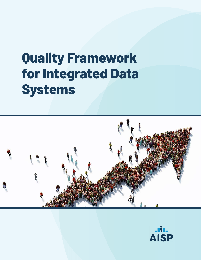# **Quality Framework for Integrated Data Systems**



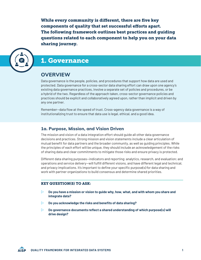While every community is different, there are five key components of quality that set successful efforts apart. The following framework outlines best practices and guiding questions related to each component to help you on your data sharing journey.



# 1. Governance

# **OVERVIEW**

Data governance is the people, policies, and procedures that support how data are used and protected. Data governance for a cross-sector data sharing effort can draw upon one agency's existing data governance practices, involve a separate set of policies and procedures, or be a hybrid of the two. Regardless of the approach taken, cross-sector governance policies and practices should be explicit and collaboratively agreed upon, rather than implicit and driven by any one partner.

Remember—data flow at the speed of trust. Cross-agency data governance is a way of institutionalizing trust to ensure that data use is legal, ethical, and a good idea.

#### **1a. Purpose, Mission, and Vision Driven**

The mission and vision of a data integration effort should guide all other data governance decisions and practices. Strong mission and vision statements include a clear articulation of mutual benefit for data partners and the broader community, as well as guiding principles. While the principles of each effort will be unique, they should include an acknowledgement of the risks of sharing data and clear commitments to mitigate those risks and ensure privacy is protected.

Different data sharing purposes—indicators and reporting; analytics, research, and evaluation; and operations and service delivery—will fulfill different visions, and have different legal and technical, and privacy implications. It's important to define your specific purpose(s) for data sharing and work with partner organizations to build consensus and determine shared priorities.

- $\triangleright$  Do you have a mission or vision to guide why, how, what, and with whom you share and **integrate data?**
- $\triangleright$  Do you acknowledge the risks and benefits of data sharing?
- $\triangleright$  Do governance documents reflect a shared understanding of which purpose(s) will **drive design?**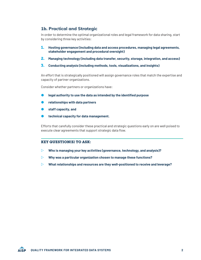## **1b. Practical and Strategic**

In order to determine the optimal organizational roles and legal framework for data sharing, start by considering three key activities:

- 1. **Hosting governance (including data and access procedures, managing legal agreements, stakeholder engagement and procedural oversight)**
- 2. **Managing technology (including data transfer, security, storage, integration, and access)**
- 3. **Conducting analysis (including methods, tools, visualizations, and insights)**

An effort that is strategically positioned will assign governance roles that match the expertise and capacity of partner organizations.

Consider whether partners or organizations have:

- **legal authority to use the data as intended by the identified purpose**
- **relationships with data partners**
- **staff capacity, and**
- **technical capacity for data management.**

Efforts that carefully consider these practical and strategic questions early on are well poised to execute clear agreements that support strategic data flow.

- $\triangleright$  Who is managing your key activities (governance, technology, and analysis)?
- Z **Why was a particular organization chosen to manage these functions?**
- $\triangleright$  What relationships and resources are they well-positioned to receive and leverage?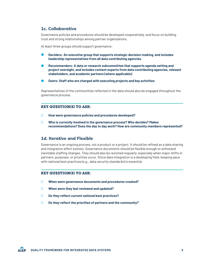## **1c. Collaborative**

Governance policies and procedures should be developed cooperatively, and focus on building trust and strong relationships among partner organizations.

At least three groups should support governance:

- **Deciders: An executive group that supports strategic decision-making, and includes leadership representatives from all data contributing agencies**
- **Recommenders: A data or research subcommittee that supports agenda setting and project oversight, and includes content experts from data contributing agencies, relevant stakeholders, and academic partners (where applicable)**
- **Doers: Staff who are charged with executing projects and key activities**

Representatives of the communities reflected in the data should also be engaged throughout the governance process.

#### KEY QUESTION(S) TO ASK:

- **EXECUTE:** How were governance policies and procedures developed?
- $\triangleright$  Who is currently involved in the governance process? Who decides? Makes **recommendations? Does the day to day work? How are community members represented?**

#### **1d. Iterative and Flexible**

Governance is an ongoing process, not a product or a project. It should be refined as a data sharing and integration effort evolves. Governance documents should be flexible enough to withstand inevitable staffing changes. They should also be revisited regularly, especially when major shifts in partners, purposes, or priorities occur. Since data integration is a developing field, keeping pace with national best practices (e.g., data security standards) is essential.

- **EXECUTE:**  $\triangleright$  When were governance documents and procedures created?
- $\triangleright$  When were they last reviewed and updated?
- $\triangleright$  Do they reflect current national best practices?
- $\triangleright$  Do they reflect the priorities of partners and the community?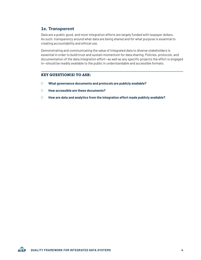## **1e. Transparent**

Data are a public good, and most integration efforts are largely funded with taxpayer dollars. As such, transparency around what data are being shared and for what purpose is essential to creating accountability and ethical use.

Demonstrating and communicating the value of integrated data to diverse stakeholders is essential in order to build trust and sustain momentum for data sharing. Policies, protocols, and documentation of the data integration effort—as well as any specific projects the effort is engaged in—should be readily available to the public in understandable and accessible formats.

- **Z** What governance documents and protocols are publicly available?
- Z **How accessible are these documents?**
- **EXECUTE:** How are data and analytics from the integration effort made publicly available?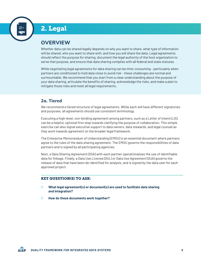

# 2. Legal

# **OVERVIEW**

Whether data can be shared legally depends on why you want to share, what type of information will be shared, who you want to share with, and how you will share the data. Legal agreements should reflect the purpose for sharing, document the legal authority of the host organization to serve that purpose, and ensure that data sharing complies with all federal and state statutes.

While negotiating legal agreements for data sharing can be time-consuming – particularly when partners are conditioned to hold data close to avoid risk – these challenges are normal and surmountable. We recommend that you start from a clear understanding about the purpose of your data sharing, articulate the benefits of sharing, acknowledge the risks, and make a plan to mitigate those risks and meet all legal requirements.

## **2a. Tiered**

We recommend a tiered structure of legal agreements. While each will have different signatories and purposes, all agreements should use consistent terminology.

Executing a high-level, non-binding agreement among partners, such as a Letter of Intent (LOI), can be a helpful, optional first step towards clarifying the purpose of collaboration. This simple exercise can also signal executive support to data owners, data stewards, and legal counsel as they work towards agreement on the broader legal framework.

The Enterprise Memorandum of Understanding (EMOU) is an essential document where partners agree to the rules of the data sharing agreement. The EMOU governs the responsibilities of data partners and is signed by all participating agencies.

Next, a Data Sharing Agreement (DSA) with each partner operationalizes the use of identifiable data for linkage. Finally, a Data Use License (DUL) or Data Use Agreement (DUA) governs the release of data that have been de-identified for analysis, and is signed by the data user for each approved project.

- **EXECUTE:**  $\triangleright$  What legal agreement(s) or document(s) are used to facilitate data sharing **and integration?**
- $\triangleright$  How do these documents work together?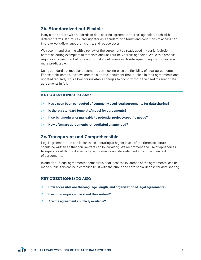## **2b. Standardized but Flexible**

Many sites operate with hundreds of data sharing agreements across agencies, each with different terms, structures, and signatories. Standardizing terms and conditions of access can improve work-flow, support insights, and reduce costs.

We recommend starting with a review of the agreements already used in your jurisdiction before selecting exemplars to template and use routinely across agencies. While this process requires an investment of time up front, it should make each subsequent negotiation faster and more predictable.

Using standard but modular documents can also increase the flexibility of legal agreements. For example, some sites have created a "terms" document that is linked in their agreements and updated regularly. This allows for inevitable changes to occur, without the need to renegotiate agreements in full.

#### KEY QUESTION(S) TO ASK:

- $>$  Has a scan been conducted of commonly used legal agreements for data sharing?
- $\triangleright$  **Is there a standard template/model for agreements?**
- **EXECT:** If so, is it modular or malleable to potential project-specific needs?
- **EXECUTE:** How often are agreements renegotiated or amended?

#### **2c. Transparent and Comprehensible**

Legal agreements—in particular those operating at higher levels of the tiered structure should be written so that non-lawyers can follow along. We recommend the use of appendices to separate out things like security requirements and data elements from the main text of agreements.

In addition, if legal agreements themselves, or at least the existence of the agreements, can be made public, this can help establish trust with the public and earn social license for data sharing.

- $\triangleright$  How accessible are the language, length, and organization of legal agreements?
- **Example 20 Can non-lawyers understand the content?**
- $\triangleright$  Are the agreements publicly available?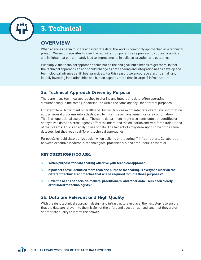

# 3. Technical

# **OVERVIEW**

When agencies begin to share and integrate data, the work is commonly approached as a technical project. We encourage sites to view the technical components as a process to support analytics and insights that can ultimately lead to improvements in policies, practice, and outcomes.

Put simply: the technical approach should not be the end goal, but a means to get there. In fact, the technical approach can and should change as data sharing and integration needs develop and technological advances shift best practices. For this reason, we encourage starting small, and initially investing in relationships and human capacity more than in large IT infrastructure.

# **3a. Technical Approach Driven by Purpose**

There are many technical approaches to sharing and integrating data, often operating simultaneously in the same jurisdiction—or within the same agency—for different purposes.

For example, a Department of Health and Human Services might integrate client-level information across several programs into a dashboard to inform case management or care coordination. This is an operational use of data. The same department might also contribute de-identified or anonymized data to a cross-agency effort to understand the education and workforce trajectories of their clients. This is an analytic use of data. The two efforts may draw upon some of the same datasets, but they require different technical approaches.

Purpose(s) should always drive design when building or procuring IT infrastructure. Collaboration between executive leadership, technologists, practitioners, and data users is essential.

#### KEY QUESTION(S) TO ASK:

- **ZURF Which purpose for data sharing will drive your technical approach?**
- $\triangleright$  If partners have identified more than one purpose for sharing, is everyone clear on the **different technical approaches that will be required to fulfill those purposes?**
- $\triangleright$  Have the needs of decision-makers, practitioners, and other data users been clearly **articulated to technologists?**

# **3b. Data are Relevant and High Quality**

With the right technical approach, design, and infrastructure in place, the next step is to ensure that the data are relevant to the mission of the effort and question at hand, and that they are of appropriate quality to inform the answer.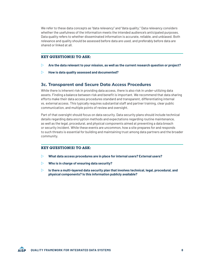We refer to these data concepts as "data relevancy" and "data quality." Data relevancy considers whether the usefulness of the information meets the intended audience's anticipated purposes. Data quality refers to whether disseminated information is accurate, reliable, and unbiased. Both relevance and quality should be assessed before data are used, and preferably before data are shared or linked at all.

#### KEY QUESTION(S) TO ASK:

- $\triangleright$  Are the data relevant to your mission, as well as the current research question or project?
- **EXECUTE:** How is data quality assessed and documented?

#### **3c. Transparent and Secure Data Access Procedures**

While there is inherent risk in providing data access, there is also risk in under-utilizing data assets. Finding a balance between risk and benefit is important. We recommend that data sharing efforts make their data access procedures standard and transparent, differentiating internal vs. external access. This typically requires substantial staff and partner training, clear public communication, and multiple points of review and oversight.

Part of that oversight should focus on data security. Data security plans should include technical details regarding data encryption methods and expectations regarding routine maintenance, as well as the legal, procedural, and physical components aimed at preventing a data breach or security incident. While these events are uncommon, how a site prepares for and responds to such threats is essential for building and maintaining trust among data partners and the broader community.

- **EXECUTE:** What data access procedures are in place for internal users? External users?
- Z **Who is in charge of ensuring data security?**
- $\triangleright$  Is there a multi-layered data security plan that involves technical, legal, procedural, and **physical components? Is this information publicly available?**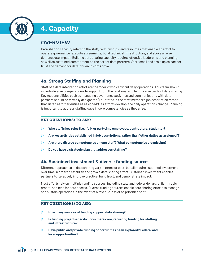

# 4. Capacity

# **OVERVIEW**

Data sharing capacity refers to the staff, relationships, and resources that enable an effort to operate governance, execute agreements, build technical infrastructure, and above all else, demonstrate impact. Building data sharing capacity requires effective leadership and planning, as well as sustained commitment on the part of data partners. Start small and scale up as partner trust and demand for data-driven insights grow.

# **4a. Strong Staffing and Planning**

Staff of a data integration effort are the "doers" who carry out daily operations. This team should include diverse competencies to support both the relational and technical aspects of data sharing. Key responsibilities such as managing governance activities and communicating with data partners should be formally designated (i.e., stated in the staff member's job description rather than listed as "other duties as assigned"). As efforts develop, the daily operations change. Planning is important to address staffing gaps in core competencies as they arise.

#### KEY QUESTION(S) TO ASK:

- $\triangleright$  Who staffs key roles (i.e., full- or part-time employees, contractors, students)?
- Z **Are key activities established in job descriptions, rather than "other duties as assigned"?**
- $\triangleright$  Are there diverse competencies among staff? What competencies are missing?
- $\triangleright$  Do you have a strategic plan that addresses staffing?

## **4b. Sustained investment & diverse funding sources**

Different approaches to data sharing vary in terms of cost, but all require sustained investment over time in order to establish and grow a data sharing effort. Sustained investment enables partners to iteratively improve practice, build trust, and demonstrate impact.

Most efforts rely on multiple funding sources, including state and federal dollars, philanthropic grants, and fees for data access. Diverse funding sources enable data sharing efforts to manage and sustain operations in the event of a revenue loss or as priorities shift.

- $\triangleright$  How many sources of funding support data sharing?
- **EXECUTE:** Is funding project-specific, or is there core, recurring funding for staffing **and infrastructure?**
- **EXECUTE:** Have public and private funding opportunities been explored? Federal and **local opportunities?**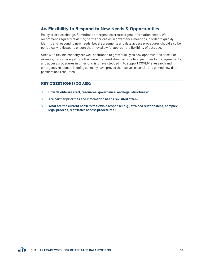## **4c. Flexibility to Respond to New Needs & Opportunities**

Policy priorities change. Sometimes emergencies create urgent information needs. We recommend regularly revisiting partner priorities in governance meetings in order to quickly identify and respond to new needs. Legal agreements and data access procedures should also be periodically reviewed to ensure that they allow for appropriate flexibility of data use.

Sites with flexible capacity are well-positioned to grow quickly as new opportunities arise. For example, data sharing efforts that were prepared ahead of time to adjust their focus, agreements, and access procedures in times of crisis have stepped in to support COVID-19 research and emergency response. In doing so, many have proved themselves essential and gained new data partners and resources.

- **EXECUTE:** How flexible are staff, resources, governance, and legal structures?
- **EXECUTE:** Are partner priorities and information needs revisited often?
- $\triangleright$  What are the current barriers to flexible response (e.g., strained relationships, complex **legal process, restrictive access procedures)?**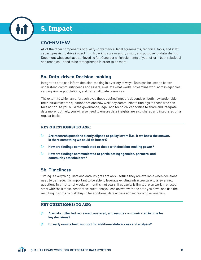

# 5. Impact

# **OVERVIEW**

All of the other components of quality—governance, legal agreements, technical tools, and staff capacity—exist to drive impact. Think back to your mission, vision, and purpose for data sharing. Document what you have achieved so far. Consider which elements of your effort—both relational and technical—need to be strengthened in order to do more.

## **5a. Data-driven Decision-making**

Integrated data can inform decision-making in a variety of ways. Data can be used to better understand community needs and assets, evaluate what works, streamline work across agencies serving similar populations, and better allocate resources.

The extent to which an effort achieves these desired impacts depends on both how actionable their initial research questions are and how well they communicate findings to those who can take action. As you build the governance, legal, and technical capacities to share and integrate data more routinely, you will also need to ensure data insights are also shared and integrated on a regular basis.

#### KEY QUESTION(S) TO ASK:

- **EXECUTE:** Are research questions clearly aligned to policy levers (i.e., if we knew the answer, **is there something we could do better)?**
- **EXECUTE:** How are findings communicated to those with decision-making power?
- $\triangleright$  How are findings communicated to participating agencies, partners, and **community stakeholders?**

# **5b. Timeliness**

Timing is everything. Data and data insights are only useful if they are available when decisions need to be made. It is important to be able to leverage existing infrastructure to answer new questions in a matter of weeks or months, not years. If capacity is limited, plan work in phases: start with the simple, descriptive questions you can answer with the data you have, and use the resulting insights to build buy-in for additional data access and more complex analysis.

- Z **Are data collected, accessed, analyzed, and results communicated in time for key decisions?**
- $\triangleright$  Do early results build support for additional data access and analysis?